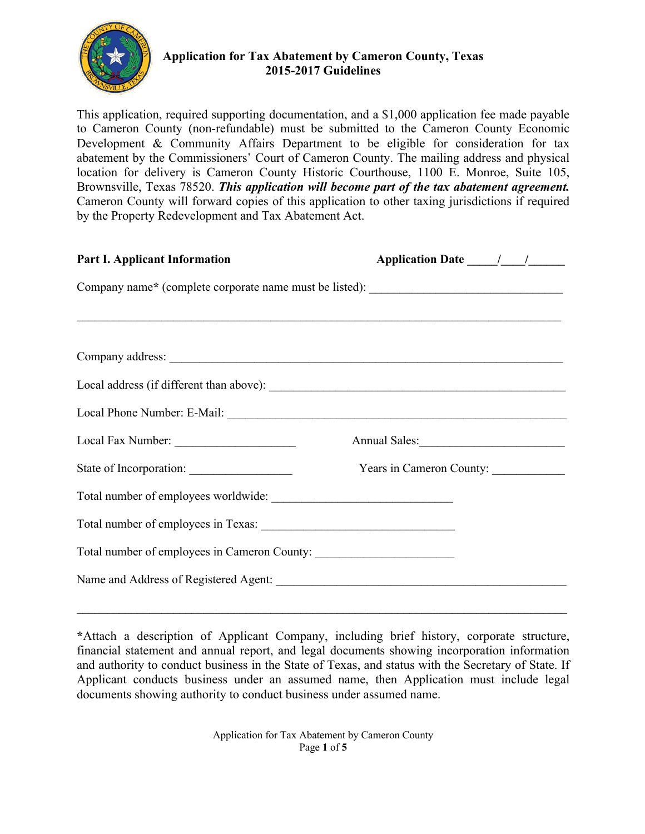

# **Application for Tax Abatement by Cameron County, Texas 2015-2017 Guidelines**

This application, required supporting documentation, and a \$1,000 application fee made payable to Cameron County (non-refundable) must be submitted to the Cameron County Economic Development & Community Affairs Department to be eligible for consideration for tax abatement by the Commissioners' Court of Cameron County. The mailing address and physical location for delivery is Cameron County Historic Courthouse, 1100 E. Monroe, Suite 105, Brownsville, Texas 78520. *This application will become part of the tax abatement agreement.*  Cameron County will forward copies of this application to other taxing jurisdictions if required by the Property Redevelopment and Tax Abatement Act.

| <b>Part I. Applicant Information</b>                                                                                  | Application Date 11.1    |  |  |  |
|-----------------------------------------------------------------------------------------------------------------------|--------------------------|--|--|--|
| Company name* (complete corporate name must be listed): _________________________                                     |                          |  |  |  |
| <u> 1980 - Jan Samuel Barbara, margaret a shekara 1980 - Shekara ta 1980 - Shekara ta 1980 - Shekara ta 1980 - Sh</u> |                          |  |  |  |
|                                                                                                                       |                          |  |  |  |
|                                                                                                                       |                          |  |  |  |
|                                                                                                                       |                          |  |  |  |
|                                                                                                                       |                          |  |  |  |
|                                                                                                                       | Annual Sales:            |  |  |  |
|                                                                                                                       | Years in Cameron County: |  |  |  |
|                                                                                                                       |                          |  |  |  |
|                                                                                                                       |                          |  |  |  |
| Total number of employees in Cameron County: ___________________________________                                      |                          |  |  |  |
|                                                                                                                       |                          |  |  |  |

 $\mathcal{L}_\mathcal{L} = \{ \mathcal{L}_\mathcal{L} = \{ \mathcal{L}_\mathcal{L} = \{ \mathcal{L}_\mathcal{L} = \{ \mathcal{L}_\mathcal{L} = \{ \mathcal{L}_\mathcal{L} = \{ \mathcal{L}_\mathcal{L} = \{ \mathcal{L}_\mathcal{L} = \{ \mathcal{L}_\mathcal{L} = \{ \mathcal{L}_\mathcal{L} = \{ \mathcal{L}_\mathcal{L} = \{ \mathcal{L}_\mathcal{L} = \{ \mathcal{L}_\mathcal{L} = \{ \mathcal{L}_\mathcal{L} = \{ \mathcal{L}_\mathcal{$ 

**<sup>\*</sup>**Attach a description of Applicant Company, including brief history, corporate structure, financial statement and annual report, and legal documents showing incorporation information and authority to conduct business in the State of Texas, and status with the Secretary of State. If Applicant conducts business under an assumed name, then Application must include legal documents showing authority to conduct business under assumed name.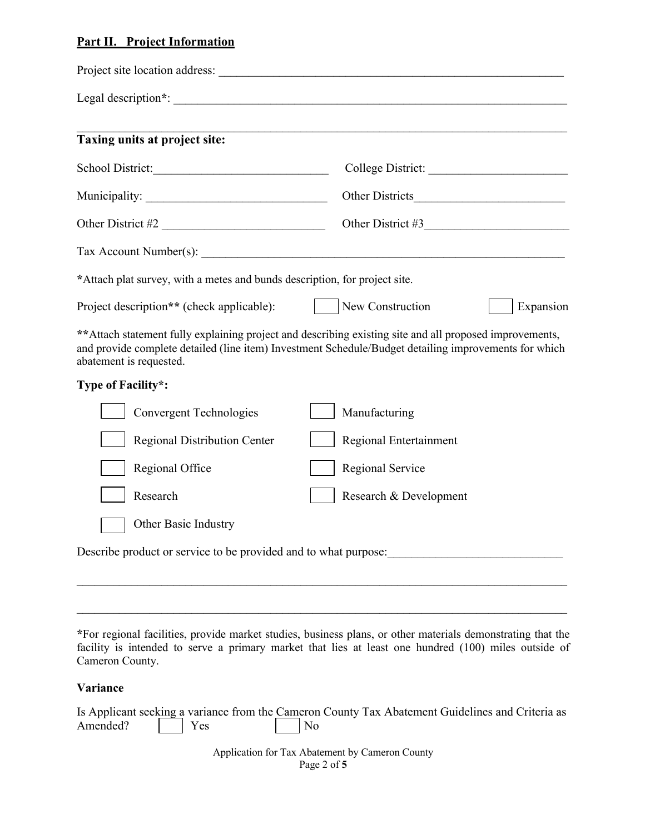## **Part II. Project Information**

| Taxing units at project site:                                              | <u> 1989 - Johann Harry Harry Harry Harry Harry Harry Harry Harry Harry Harry Harry Harry Harry Harry Harry Harry</u>                                                                                                                                                                  |  |
|----------------------------------------------------------------------------|----------------------------------------------------------------------------------------------------------------------------------------------------------------------------------------------------------------------------------------------------------------------------------------|--|
| School District:                                                           |                                                                                                                                                                                                                                                                                        |  |
|                                                                            |                                                                                                                                                                                                                                                                                        |  |
| Other District #2                                                          | Other District #3                                                                                                                                                                                                                                                                      |  |
|                                                                            | Tax Account Number(s): $\frac{1}{2}$ and $\frac{1}{2}$ and $\frac{1}{2}$ and $\frac{1}{2}$ and $\frac{1}{2}$ and $\frac{1}{2}$ and $\frac{1}{2}$ and $\frac{1}{2}$ and $\frac{1}{2}$ and $\frac{1}{2}$ and $\frac{1}{2}$ and $\frac{1}{2}$ and $\frac{1}{2}$ and $\frac{1}{2}$ and $\$ |  |
| *Attach plat survey, with a metes and bunds description, for project site. |                                                                                                                                                                                                                                                                                        |  |
| Project description** (check applicable):                                  | $\vert$ New Construction<br>Expansion                                                                                                                                                                                                                                                  |  |
| abatement is requested.                                                    | ** Attach statement fully explaining project and describing existing site and all proposed improvements,<br>and provide complete detailed (line item) Investment Schedule/Budget detailing improvements for which                                                                      |  |
| Type of Facility*:                                                         |                                                                                                                                                                                                                                                                                        |  |
| <b>Convergent Technologies</b>                                             | Manufacturing                                                                                                                                                                                                                                                                          |  |
| <b>Regional Distribution Center</b>                                        | Regional Entertainment                                                                                                                                                                                                                                                                 |  |
| Regional Office                                                            | Regional Service                                                                                                                                                                                                                                                                       |  |
| Research                                                                   | Research & Development                                                                                                                                                                                                                                                                 |  |
| Other Basic Industry                                                       |                                                                                                                                                                                                                                                                                        |  |
|                                                                            |                                                                                                                                                                                                                                                                                        |  |
|                                                                            |                                                                                                                                                                                                                                                                                        |  |
|                                                                            |                                                                                                                                                                                                                                                                                        |  |

**\***For regional facilities, provide market studies, business plans, or other materials demonstrating that the facility is intended to serve a primary market that lies at least one hundred (100) miles outside of Cameron County.

#### **Variance**

|                  | Is Applicant seeking a variance from the Cameron County Tax Abatement Guidelines and Criteria as |  |
|------------------|--------------------------------------------------------------------------------------------------|--|
| Amended?     Yes | $\vert$ No                                                                                       |  |

Application for Tax Abatement by Cameron County Page 2 of **5**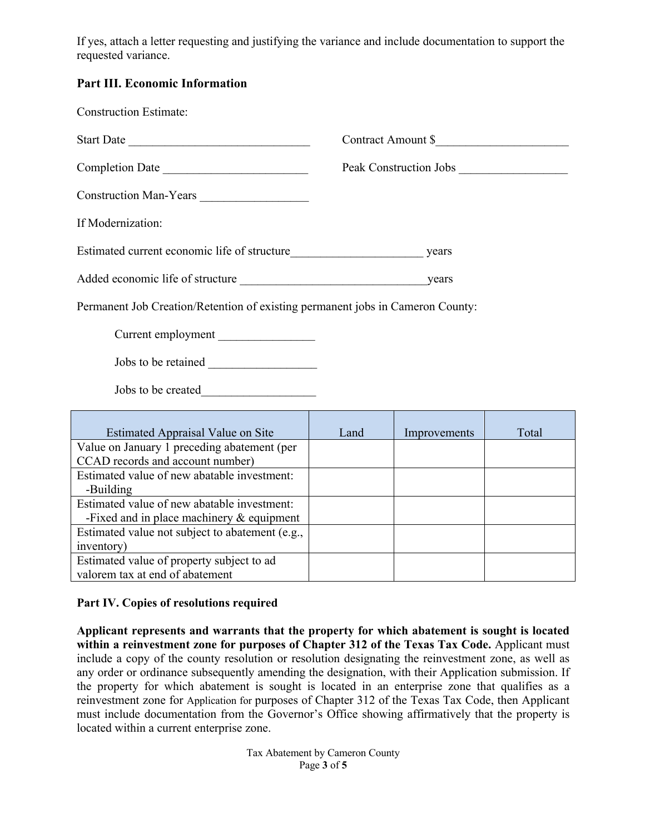If yes, attach a letter requesting and justifying the variance and include documentation to support the requested variance.

## **Part III. Economic Information**

| <b>Construction Estimate:</b>                                                              |                    |              |       |  |
|--------------------------------------------------------------------------------------------|--------------------|--------------|-------|--|
| Start Date                                                                                 | Contract Amount \$ |              |       |  |
| Completion Date                                                                            |                    |              |       |  |
| Construction Man-Years                                                                     |                    |              |       |  |
| If Modernization:                                                                          |                    |              |       |  |
| Estimated current economic life of structure<br><u>Letter and the structure</u> years      |                    |              |       |  |
|                                                                                            |                    |              |       |  |
| Permanent Job Creation/Retention of existing permanent jobs in Cameron County:             |                    |              |       |  |
| Current employment                                                                         |                    |              |       |  |
|                                                                                            |                    |              |       |  |
|                                                                                            |                    |              |       |  |
| <b>Estimated Appraisal Value on Site</b>                                                   | Land               | Improvements | Total |  |
| Value on January 1 preceding abatement (per<br>CCAD records and account number)            |                    |              |       |  |
| Estimated value of new abatable investment:<br>-Building                                   |                    |              |       |  |
| Estimated value of new abatable investment:<br>-Fixed and in place machinery $&$ equipment |                    |              |       |  |
| Estimated value not subject to abatement (e.g.,                                            |                    |              |       |  |

## **Part IV. Copies of resolutions required**

Estimated value of property subject to ad

valorem tax at end of abatement

inventory)

**Applicant represents and warrants that the property for which abatement is sought is located within a reinvestment zone for purposes of Chapter 312 of the Texas Tax Code.** Applicant must include a copy of the county resolution or resolution designating the reinvestment zone, as well as any order or ordinance subsequently amending the designation, with their Application submission. If the property for which abatement is sought is located in an enterprise zone that qualifies as a reinvestment zone for Application for purposes of Chapter 312 of the Texas Tax Code, then Applicant must include documentation from the Governor's Office showing affirmatively that the property is located within a current enterprise zone.

> Tax Abatement by Cameron County Page **3** of **5**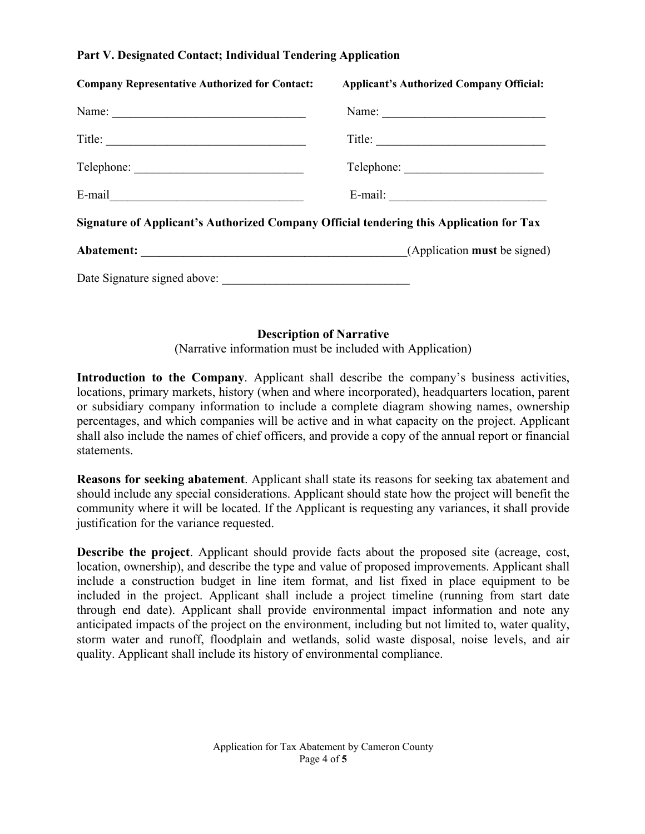### **Part V. Designated Contact; Individual Tendering Application**

| <b>Company Representative Authorized for Contact:</b>                                   | <b>Applicant's Authorized Company Official:</b>                                                                                                                                                                                                                                                                                                                                                                                 |
|-----------------------------------------------------------------------------------------|---------------------------------------------------------------------------------------------------------------------------------------------------------------------------------------------------------------------------------------------------------------------------------------------------------------------------------------------------------------------------------------------------------------------------------|
| Name: $\frac{1}{2}$                                                                     | Name:                                                                                                                                                                                                                                                                                                                                                                                                                           |
|                                                                                         | $\text{Title:}\n \begin{tabular}{ c c c c } \hline \hline \multicolumn{3}{ c }{4} & \multicolumn{3}{ c }{4} & \multicolumn{3}{ c }{4} & \multicolumn{3}{ c }{4} & \multicolumn{3}{ c }{4} & \multicolumn{3}{ c }{4} & \multicolumn{3}{ c }{4} & \multicolumn{3}{ c }{4} & \multicolumn{3}{ c }{4} & \multicolumn{3}{ c }{4} & \multicolumn{3}{ c }{4} & \multicolumn{3}{ c }{4} & \multicolumn{3}{ c }{4} & \multicolumn{3}{ c$ |
|                                                                                         |                                                                                                                                                                                                                                                                                                                                                                                                                                 |
| E-mail <u>expression</u>                                                                |                                                                                                                                                                                                                                                                                                                                                                                                                                 |
| Signature of Applicant's Authorized Company Official tendering this Application for Tax |                                                                                                                                                                                                                                                                                                                                                                                                                                 |
|                                                                                         |                                                                                                                                                                                                                                                                                                                                                                                                                                 |
|                                                                                         |                                                                                                                                                                                                                                                                                                                                                                                                                                 |

### **Description of Narrative**

(Narrative information must be included with Application)

**Introduction to the Company**. Applicant shall describe the company's business activities, locations, primary markets, history (when and where incorporated), headquarters location, parent or subsidiary company information to include a complete diagram showing names, ownership percentages, and which companies will be active and in what capacity on the project. Applicant shall also include the names of chief officers, and provide a copy of the annual report or financial statements.

**Reasons for seeking abatement**. Applicant shall state its reasons for seeking tax abatement and should include any special considerations. Applicant should state how the project will benefit the community where it will be located. If the Applicant is requesting any variances, it shall provide justification for the variance requested.

**Describe the project**. Applicant should provide facts about the proposed site (acreage, cost, location, ownership), and describe the type and value of proposed improvements. Applicant shall include a construction budget in line item format, and list fixed in place equipment to be included in the project. Applicant shall include a project timeline (running from start date through end date). Applicant shall provide environmental impact information and note any anticipated impacts of the project on the environment, including but not limited to, water quality, storm water and runoff, floodplain and wetlands, solid waste disposal, noise levels, and air quality. Applicant shall include its history of environmental compliance.